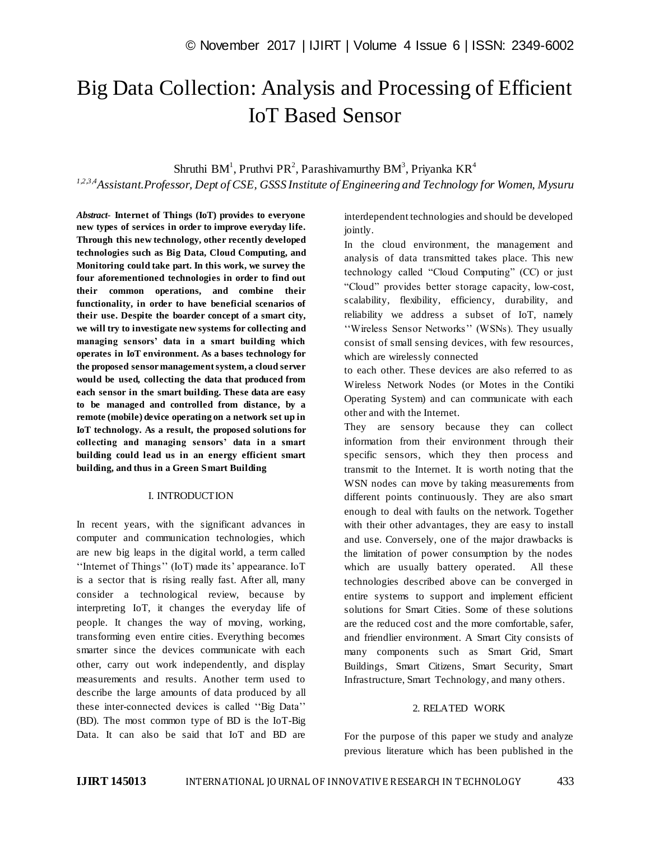# Big Data Collection: Analysis and Processing of Efficient IoT Based Sensor

Shruthi BM<sup>1</sup>, Pruthvi PR<sup>2</sup>, Parashivamurthy BM<sup>3</sup>, Priyanka KR<sup>4</sup>

*1,2,3,4Assistant.Professor, Dept of CSE, GSSS Institute of Engineering and Technology for Women, Mysuru*

*Abstract*- **Internet of Things (IoT) provides to everyone new types of services in order to improve everyday life. Through this new technology, other recently developed technologies such as Big Data, Cloud Computing, and Monitoring could take part. In this work, we survey the four aforementioned technologies in order to find out their common operations, and combine their functionality, in order to have beneficial scenarios of their use. Despite the boarder concept of a smart city, we will try to investigate new systems for collecting and managing sensors' data in a smart building which operates in IoT environment. As a bases technology for the proposed sensor management system, a cloud server would be used, collecting the data that produced from each sensor in the smart building. These data are easy to be managed and controlled from distance, by a remote (mobile) device operating on a network set up in IoT technology. As a result, the proposed solutions for collecting and managing sensors' data in a smart building could lead us in an energy efficient smart building, and thus in a Green Smart Building**

## I. INTRODUCTION

In recent years, with the significant advances in computer and communication technologies, which are new big leaps in the digital world, a term called "Internet of Things" (IoT) made its' appearance. IoT is a sector that is rising really fast. After all, many consider a technological review, because by interpreting IoT, it changes the everyday life of people. It changes the way of moving, working, transforming even entire cities. Everything becomes smarter since the devices communicate with each other, carry out work independently, and display measurements and results. Another term used to describe the large amounts of data produced by all these inter-connected devices is called "Big Data" (BD). The most common type of BD is the IoT-Big Data. It can also be said that IoT and BD are

interdependent technologies and should be developed jointly.

In the cloud environment, the management and analysis of data transmitted takes place. This new technology called "Cloud Computing" (CC) or just "Cloud" provides better storage capacity, low-cost, scalability, flexibility, efficiency, durability, and reliability we address a subset of IoT, namely "Wireless Sensor Networks" (WSNs). They usually consist of small sensing devices, with few resources, which are wirelessly connected

to each other. These devices are also referred to as Wireless Network Nodes (or Motes in the Contiki Operating System) and can communicate with each other and with the Internet.

They are sensory because they can collect information from their environment through their specific sensors, which they then process and transmit to the Internet. It is worth noting that the WSN nodes can move by taking measurements from different points continuously. They are also smart enough to deal with faults on the network. Together with their other advantages, they are easy to install and use. Conversely, one of the major drawbacks is the limitation of power consumption by the nodes which are usually battery operated. All these technologies described above can be converged in entire systems to support and implement efficient solutions for Smart Cities. Some of these solutions are the reduced cost and the more comfortable, safer, and friendlier environment. A Smart City consists of many components such as Smart Grid, Smart Buildings, Smart Citizens, Smart Security, Smart Infrastructure, Smart Technology, and many others.

## 2. RELATED WORK

For the purpose of this paper we study and analyze previous literature which has been published in the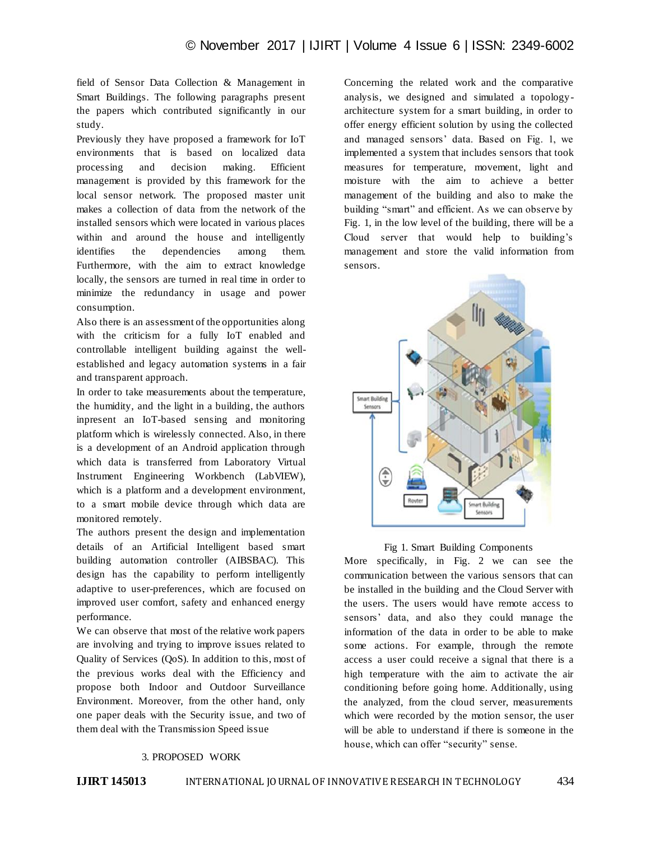field of Sensor Data Collection & Management in Smart Buildings. The following paragraphs present the papers which contributed significantly in our study.

Previously they have proposed a framework for IoT environments that is based on localized data processing and decision making. Efficient management is provided by this framework for the local sensor network. The proposed master unit makes a collection of data from the network of the installed sensors which were located in various places within and around the house and intelligently identifies the dependencies among them. Furthermore, with the aim to extract knowledge locally, the sensors are turned in real time in order to minimize the redundancy in usage and power consumption.

Also there is an assessment of the opportunities along with the criticism for a fully IoT enabled and controllable intelligent building against the wellestablished and legacy automation systems in a fair and transparent approach.

In order to take measurements about the temperature, the humidity, and the light in a building, the authors inpresent an IoT-based sensing and monitoring platform which is wirelessly connected. Also, in there is a development of an Android application through which data is transferred from Laboratory Virtual Instrument Engineering Workbench (LabVIEW), which is a platform and a development environment, to a smart mobile device through which data are monitored remotely.

The authors present the design and implementation details of an Artificial Intelligent based smart building automation controller (AIBSBAC). This design has the capability to perform intelligently adaptive to user-preferences, which are focused on improved user comfort, safety and enhanced energy performance.

We can observe that most of the relative work papers are involving and trying to improve issues related to Quality of Services (QoS). In addition to this, most of the previous works deal with the Efficiency and propose both Indoor and Outdoor Surveillance Environment. Moreover, from the other hand, only one paper deals with the Security issue, and two of them deal with the Transmission Speed issue

Concerning the related work and the comparative analysis, we designed and simulated a topologyarchitecture system for a smart building, in order to offer energy efficient solution by using the collected and managed sensors" data. Based on Fig. 1, we implemented a system that includes sensors that took measures for temperature, movement, light and moisture with the aim to achieve a better management of the building and also to make the building "smart" and efficient. As we can observe by Fig. 1, in the low level of the building, there will be a Cloud server that would help to building"s management and store the valid information from sensors.



## Fig 1. Smart Building Components

More specifically, in Fig. 2 we can see the communication between the various sensors that can be installed in the building and the Cloud Server with the users. The users would have remote access to sensors" data, and also they could manage the information of the data in order to be able to make some actions. For example, through the remote access a user could receive a signal that there is a high temperature with the aim to activate the air conditioning before going home. Additionally, using the analyzed, from the cloud server, measurements which were recorded by the motion sensor, the user will be able to understand if there is someone in the house, which can offer "security" sense.

## 3. PROPOSED WORK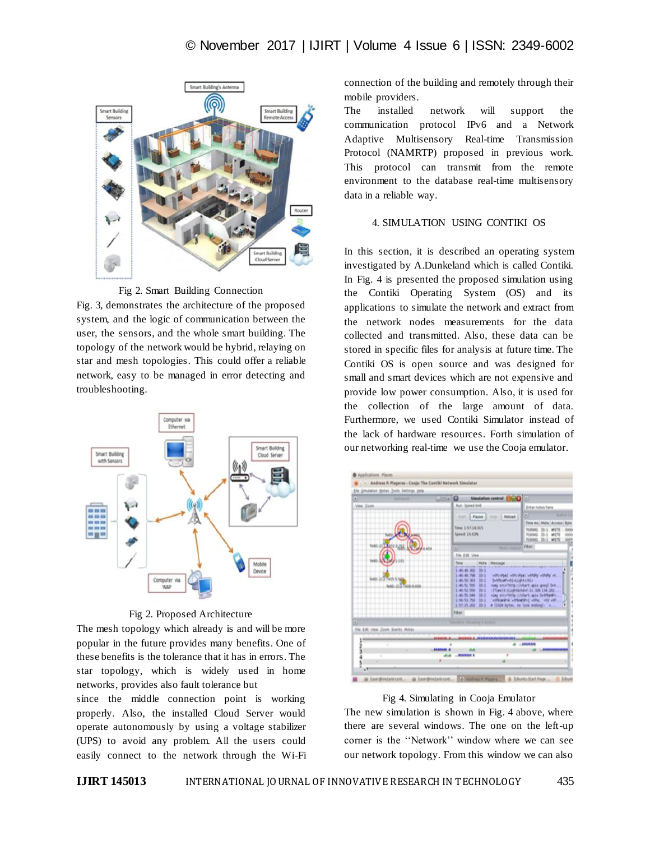



Fig. 3, demonstrates the architecture of the proposed system, and the logic of communication between the user, the sensors, and the whole smart building. The topology of the network would be hybrid, relaying on star and mesh topologies. This could offer a reliable network, easy to be managed in error detecting and troubleshooting.



## Fig 2. Proposed Architecture

The mesh topology which already is and will be more popular in the future provides many benefits. One of these benefits is the tolerance that it has in errors. The star topology, which is widely used in home networks, provides also fault tolerance but

since the middle connection point is working properly. Also, the installed Cloud Server would operate autonomously by using a voltage stabilizer (UPS) to avoid any problem. All the users could easily connect to the network through the Wi-Fi connection of the building and remotely through their mobile providers.

The installed network will support the communication protocol IPv6 and a Network Adaptive Multisensory Real-time Transmission Protocol (NAMRTP) proposed in previous work. This protocol can transmit from the remote environment to the database real-time multisensory data in a reliable way.

## 4. SIMULATION USING CONTIKI OS

In this section, it is described an operating system investigated by A.Dunkeland which is called Contiki. In Fig. 4 is presented the proposed simulation using the Contiki Operating System (OS) and its applications to simulate the network and extract from the network nodes measurements for the data collected and transmitted. Also, these data can be stored in specific files for analysis at future time. The Contiki OS is open source and was designed for small and smart devices which are not expensive and provide low power consumption. Also, it is used for the collection of the large amount of data. Furthermore, we used Contiki Simulator instead of the lack of hardware resources. Forth simulation of our networking real-time we use the Cooja emulator.



## Fig 4. Simulating in Cooja Emulator

The new simulation is shown in Fig. 4 above, where there are several windows. The one on the left-up corner is the "Network" window where we can see our network topology. From this window we can also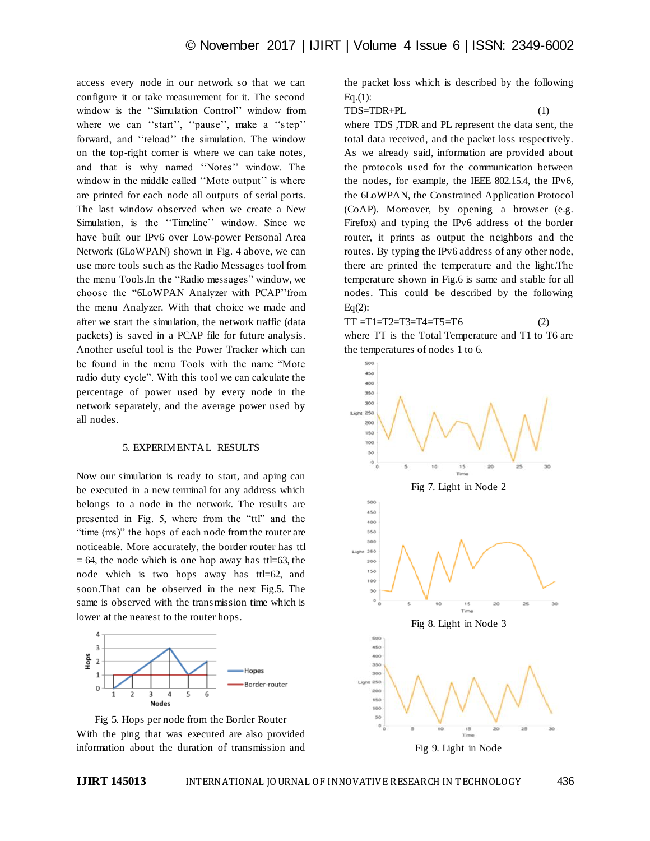access every node in our network so that we can configure it or take measurement for it. The second window is the "Simulation Control" window from where we can "start", "pause", make a "step" forward, and ""reload"" the simulation. The window on the top-right corner is where we can take notes, and that is why named "Notes" window. The window in the middle called "Mote output" is where are printed for each node all outputs of serial ports. The last window observed when we create a New Simulation, is the "Timeline" window. Since we have built our IPv6 over Low-power Personal Area Network (6LoWPAN) shown in Fig. 4 above, we can use more tools such as the Radio Messages tool from the menu Tools.In the "Radio messages" window, we choose the "6LoWPAN Analyzer with PCAP" from the menu Analyzer. With that choice we made and after we start the simulation, the network traffic (data packets) is saved in a PCAP file for future analysis. Another useful tool is the Power Tracker which can be found in the menu Tools with the name "Mote radio duty cycle". With this tool we can calculate the percentage of power used by every node in the network separately, and the average power used by all nodes.

#### 5. EXPERIMENTAL RESULTS

Now our simulation is ready to start, and aping can be executed in a new terminal for any address which belongs to a node in the network. The results are presented in Fig. 5, where from the "ttl" and the "time (ms)" the hops of each node from the router are noticeable. More accurately, the border router has ttl  $= 64$ , the node which is one hop away has ttl=63, the node which is two hops away has ttl=62, and soon.That can be observed in the next Fig.5. The same is observed with the transmission time which is lower at the nearest to the router hops.



Fig 5. Hops per node from the Border Router With the ping that was executed are also provided information about the duration of transmission and

the packet loss which is described by the following  $Eq.(1):$ 

TDS=TDR+PL (1)

where TDS ,TDR and PL represent the data sent, the total data received, and the packet loss respectively. As we already said, information are provided about the protocols used for the communication between the nodes, for example, the IEEE 802.15.4, the IPv6, the 6LoWPAN, the Constrained Application Protocol (CoAP). Moreover, by opening a browser (e.g. Firefox) and typing the IPv6 address of the border router, it prints as output the neighbors and the routes. By typing the IPv6 address of any other node, there are printed the temperature and the light.The temperature shown in Fig.6 is same and stable for all nodes. This could be described by the following  $Eq(2)$ :

 $TT = T1 = T2 = T3 = T4 = T5 = T6$  (2) where TT is the Total Temperature and T1 to T6 are the temperatures of nodes 1 to 6.

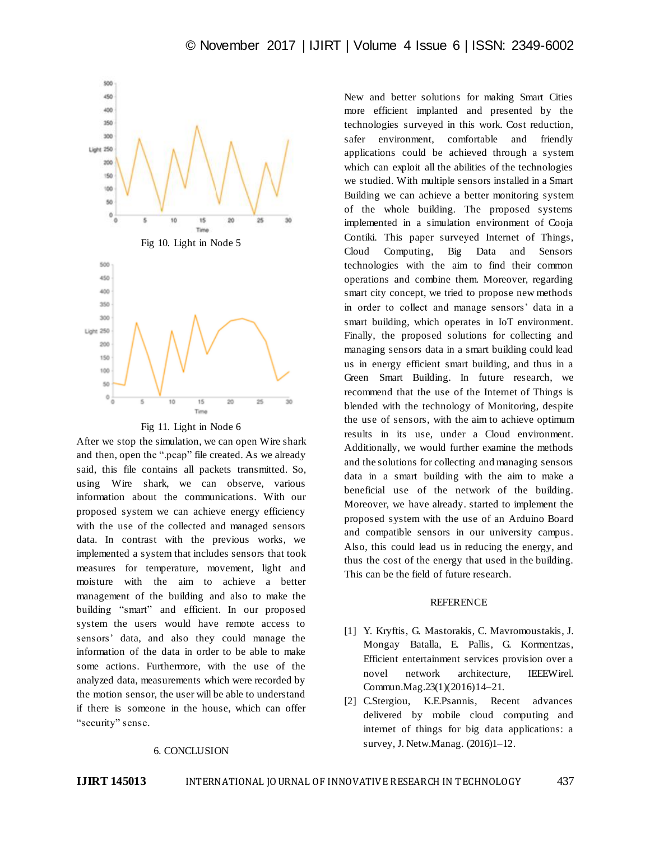

Fig 11. Light in Node 6

After we stop the simulation, we can open Wire shark and then, open the ".pcap" file created. As we already said, this file contains all packets transmitted. So, using Wire shark, we can observe, various information about the communications. With our proposed system we can achieve energy efficiency with the use of the collected and managed sensors data. In contrast with the previous works, we implemented a system that includes sensors that took measures for temperature, movement, light and moisture with the aim to achieve a better management of the building and also to make the building "smart" and efficient. In our proposed system the users would have remote access to sensors" data, and also they could manage the information of the data in order to be able to make some actions. Furthermore, with the use of the analyzed data, measurements which were recorded by the motion sensor, the user will be able to understand if there is someone in the house, which can offer "security" sense.

## 6. CONCLUSION

New and better solutions for making Smart Cities more efficient implanted and presented by the technologies surveyed in this work. Cost reduction, safer environment, comfortable and friendly applications could be achieved through a system which can exploit all the abilities of the technologies we studied. With multiple sensors installed in a Smart Building we can achieve a better monitoring system of the whole building. The proposed systems implemented in a simulation environment of Cooja Contiki. This paper surveyed Internet of Things, Cloud Computing, Big Data and Sensors technologies with the aim to find their common operations and combine them. Moreover, regarding smart city concept, we tried to propose new methods in order to collect and manage sensors' data in a smart building, which operates in IoT environment. Finally, the proposed solutions for collecting and managing sensors data in a smart building could lead us in energy efficient smart building, and thus in a Green Smart Building. In future research, we recommend that the use of the Internet of Things is blended with the technology of Monitoring, despite the use of sensors, with the aim to achieve optimum results in its use, under a Cloud environment. Additionally, we would further examine the methods and the solutions for collecting and managing sensors data in a smart building with the aim to make a beneficial use of the network of the building. Moreover, we have already. started to implement the proposed system with the use of an Arduino Board and compatible sensors in our university campus. Also, this could lead us in reducing the energy, and thus the cost of the energy that used in the building. This can be the field of future research.

### REFERENCE

- [1] Y. Kryftis, G. Mastorakis, C. Mavromoustakis, J. Mongay Batalla, E. Pallis, G. Kormentzas, Efficient entertainment services provision over a novel network architecture, IEEEWirel. Commun.Mag.23(1)(2016)14–21.
- [2] C.Stergiou, K.E.Psannis, Recent advances delivered by mobile cloud computing and internet of things for big data applications: a survey, J. Netw.Manag. (2016)1–12.